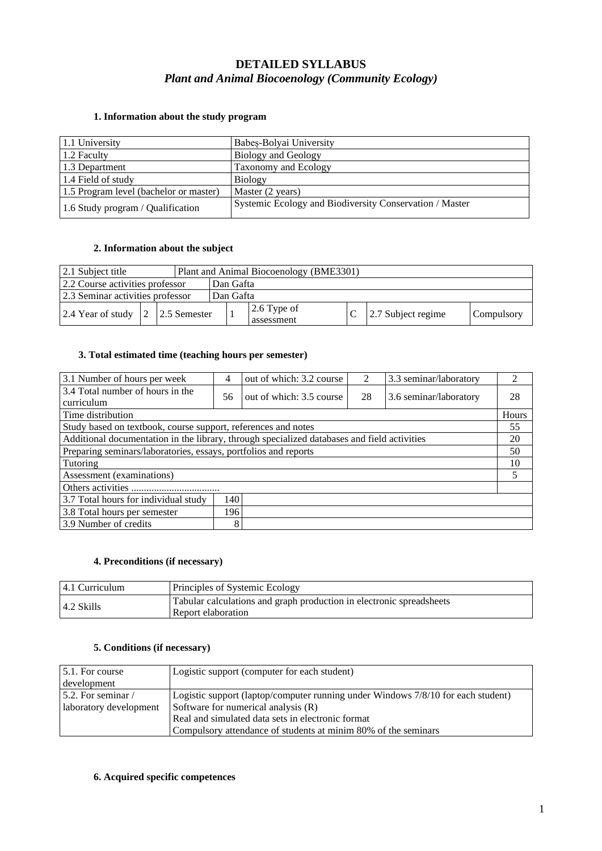# **DETAILED SYLLABUS** *Plant and Animal Biocoenology (Community Ecology)*

# 1.1 University Babeș-Bolyai University 1.2 Faculty Biology and Geology 1.3 Department Taxonomy and Ecology 1.4 Field of study Biology 1.5 Program level (bachelor or master) Master (2 years) 1.6 Study program / Qualification Systemic Ecology and Biodiversity Conservation / Master

### **1. Information about the study program**

### **2. Information about the subject**

| 2.1 Subject title                |  |  |           |           | Plant and Animal Biocoenology (BME3301) |  |                    |            |
|----------------------------------|--|--|-----------|-----------|-----------------------------------------|--|--------------------|------------|
| 2.2 Course activities professor  |  |  | Dan Gafta |           |                                         |  |                    |            |
| 2.3 Seminar activities professor |  |  |           | Dan Gafta |                                         |  |                    |            |
| 2.4 Year of study 2 2.5 Semester |  |  |           |           | $2.6$ Type of<br>assessment             |  | 2.7 Subject regime | Compulsory |

#### **3. Total estimated time (teaching hours per semester)**

| 3.1 Number of hours per week                                                                      | 4                 | out of which: 3.2 course   | 2  | 3.3 seminar/laboratory | 2            |  |  |
|---------------------------------------------------------------------------------------------------|-------------------|----------------------------|----|------------------------|--------------|--|--|
| 3.4 Total number of hours in the                                                                  |                   | out of which: $3.5$ course | 28 | 3.6 seminar/laboratory | 28           |  |  |
| curriculum                                                                                        |                   |                            |    |                        | <b>Hours</b> |  |  |
|                                                                                                   | Time distribution |                            |    |                        |              |  |  |
| Study based on textbook, course support, references and notes                                     |                   |                            |    |                        |              |  |  |
| Additional documentation in the library, through specialized databases and field activities<br>20 |                   |                            |    |                        |              |  |  |
| Preparing seminars/laboratories, essays, portfolios and reports                                   |                   |                            |    |                        |              |  |  |
| Tutoring                                                                                          |                   |                            |    |                        |              |  |  |
| Assessment (examinations)                                                                         |                   |                            |    |                        |              |  |  |
|                                                                                                   |                   |                            |    |                        |              |  |  |
| 3.7 Total hours for individual study<br>140                                                       |                   |                            |    |                        |              |  |  |
| 196<br>3.8 Total hours per semester                                                               |                   |                            |    |                        |              |  |  |
| 3.9 Number of credits<br>8                                                                        |                   |                            |    |                        |              |  |  |

### **4. Preconditions (if necessary)**

| 14.1 Curriculum    | Principles of Systemic Ecology                                                             |
|--------------------|--------------------------------------------------------------------------------------------|
| $\vert$ 4.2 Skills | Tabular calculations and graph production in electronic spreadsheets<br>Report elaboration |

### **5. Conditions (if necessary)**

| $5.1$ . For course      | Logistic support (computer for each student)                                     |
|-------------------------|----------------------------------------------------------------------------------|
| development             |                                                                                  |
| 5.2. For seminar $\ell$ | Logistic support (laptop/computer running under Windows 7/8/10 for each student) |
| laboratory development  | Software for numerical analysis (R)                                              |
|                         | Real and simulated data sets in electronic format                                |
|                         | Compulsory attendance of students at minim 80% of the seminars                   |

#### **6. Acquired specific competences**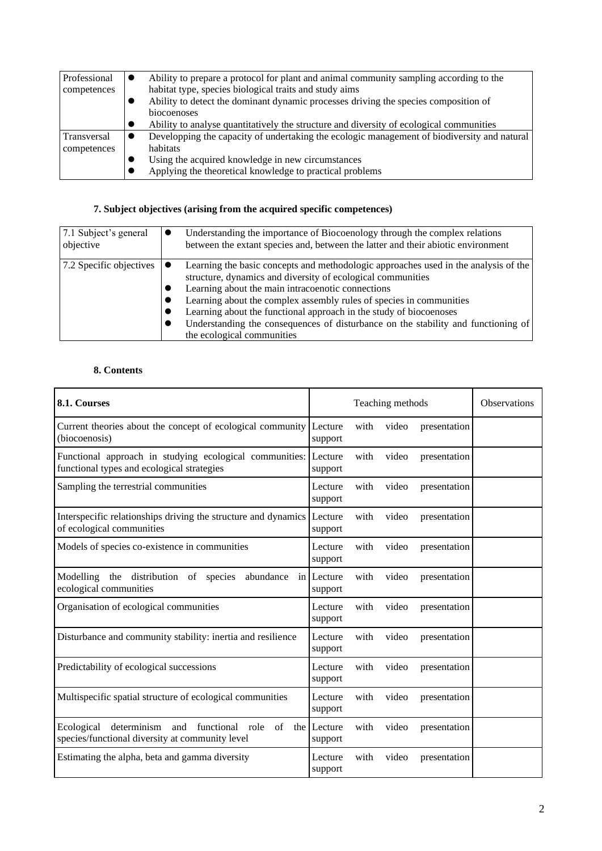| Professional | Ability to prepare a protocol for plant and animal community sampling according to the      |
|--------------|---------------------------------------------------------------------------------------------|
| competences  | habitat type, species biological traits and study aims                                      |
|              | Ability to detect the dominant dynamic processes driving the species composition of         |
|              | biocoenoses                                                                                 |
|              | Ability to analyse quantitatively the structure and diversity of ecological communities     |
| Transversal  | Developping the capacity of undertaking the ecologic management of biodiversity and natural |
| competences  | habitats                                                                                    |
|              | Using the acquired knowledge in new circumstances                                           |
|              | Applying the theoretical knowledge to practical problems                                    |

# **7. Subject objectives (arising from the acquired specific competences)**

| 7.1 Subject's general   | Understanding the importance of Biocoenology through the complex relations                                                                                                                                                                                                                                                                                                                                                                                              |
|-------------------------|-------------------------------------------------------------------------------------------------------------------------------------------------------------------------------------------------------------------------------------------------------------------------------------------------------------------------------------------------------------------------------------------------------------------------------------------------------------------------|
| objective               | between the extant species and, between the latter and their abiotic environment                                                                                                                                                                                                                                                                                                                                                                                        |
| 7.2 Specific objectives | Learning the basic concepts and methodologic approaches used in the analysis of the<br>structure, dynamics and diversity of ecological communities<br>Learning about the main intracoenotic connections<br>Learning about the complex assembly rules of species in communities<br>Learning about the functional approach in the study of biocoenoses<br>Understanding the consequences of disturbance on the stability and functioning of<br>the ecological communities |

## **8. Contents**

| 8.1. Courses                                                                                                 | Teaching methods       |      |       |              | <b>Observations</b> |
|--------------------------------------------------------------------------------------------------------------|------------------------|------|-------|--------------|---------------------|
| Current theories about the concept of ecological community<br>(biocoenosis)                                  | Lecture<br>support     | with | video | presentation |                     |
| Functional approach in studying ecological communities:<br>functional types and ecological strategies        | Lecture<br>support     | with | video | presentation |                     |
| Sampling the terrestrial communities                                                                         | Lecture<br>support     | with | video | presentation |                     |
| Interspecific relationships driving the structure and dynamics Lecture<br>of ecological communities          | support                | with | video | presentation |                     |
| Models of species co-existence in communities                                                                | Lecture<br>support     | with | video | presentation |                     |
| Modelling<br>the distribution of species<br>abundance<br>ecological communities                              | in Lecture<br>support  | with | video | presentation |                     |
| Organisation of ecological communities                                                                       | Lecture<br>support     | with | video | presentation |                     |
| Disturbance and community stability: inertia and resilience                                                  | Lecture<br>support     | with | video | presentation |                     |
| Predictability of ecological successions                                                                     | Lecture<br>support     | with | video | presentation |                     |
| Multispecific spatial structure of ecological communities                                                    | Lecture<br>support     | with | video | presentation |                     |
| Ecological<br>determinism<br>and functional<br>of<br>role<br>species/functional diversity at community level | the Lecture<br>support | with | video | presentation |                     |
| Estimating the alpha, beta and gamma diversity                                                               | Lecture<br>support     | with | video | presentation |                     |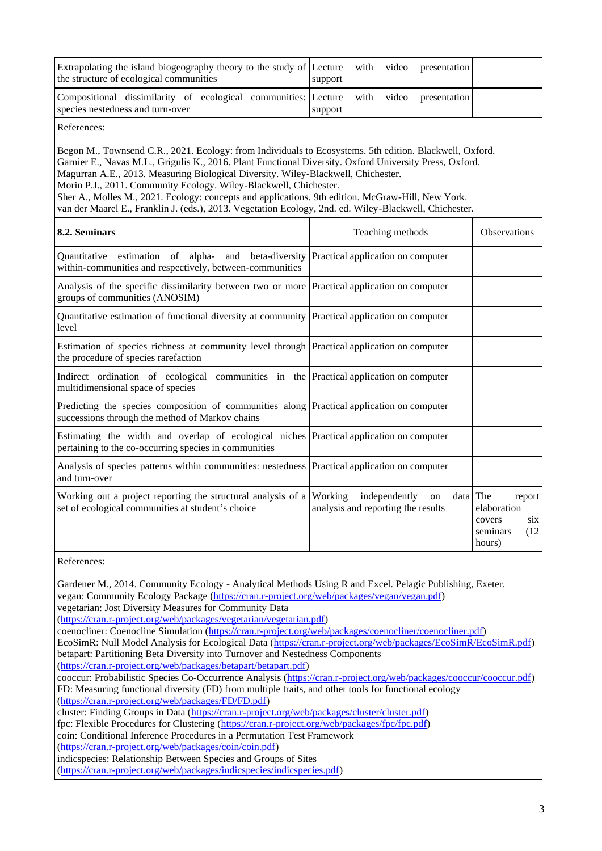| Extrapolating the island biogeography theory to the study of<br>the structure of ecological communities                                                                                                                                                                                                                                                                                                                                                                                                                                                                                                                                                                                                                                                                                                                                          | Lecture<br>video<br>with<br>presentation<br>support                   |                                                                      |  |  |  |
|--------------------------------------------------------------------------------------------------------------------------------------------------------------------------------------------------------------------------------------------------------------------------------------------------------------------------------------------------------------------------------------------------------------------------------------------------------------------------------------------------------------------------------------------------------------------------------------------------------------------------------------------------------------------------------------------------------------------------------------------------------------------------------------------------------------------------------------------------|-----------------------------------------------------------------------|----------------------------------------------------------------------|--|--|--|
| Compositional dissimilarity of ecological communities:<br>species nestedness and turn-over                                                                                                                                                                                                                                                                                                                                                                                                                                                                                                                                                                                                                                                                                                                                                       | Lecture<br>video<br>with<br>presentation<br>support                   |                                                                      |  |  |  |
| References:                                                                                                                                                                                                                                                                                                                                                                                                                                                                                                                                                                                                                                                                                                                                                                                                                                      |                                                                       |                                                                      |  |  |  |
| Begon M., Townsend C.R., 2021. Ecology: from Individuals to Ecosystems. 5th edition. Blackwell, Oxford.<br>Garnier E., Navas M.L., Grigulis K., 2016. Plant Functional Diversity. Oxford University Press, Oxford.<br>Magurran A.E., 2013. Measuring Biological Diversity. Wiley-Blackwell, Chichester.<br>Morin P.J., 2011. Community Ecology. Wiley-Blackwell, Chichester.<br>Sher A., Molles M., 2021. Ecology: concepts and applications. 9th edition. McGraw-Hill, New York.<br>van der Maarel E., Franklin J. (eds.), 2013. Vegetation Ecology, 2nd. ed. Wiley-Blackwell, Chichester.                                                                                                                                                                                                                                                      |                                                                       |                                                                      |  |  |  |
| 8.2. Seminars                                                                                                                                                                                                                                                                                                                                                                                                                                                                                                                                                                                                                                                                                                                                                                                                                                    | Teaching methods                                                      | Observations                                                         |  |  |  |
| estimation of alpha-<br>and beta-diversity<br>Quantitative<br>within-communities and respectively, between-communities                                                                                                                                                                                                                                                                                                                                                                                                                                                                                                                                                                                                                                                                                                                           | Practical application on computer                                     |                                                                      |  |  |  |
| Analysis of the specific dissimilarity between two or more<br>groups of communities (ANOSIM)                                                                                                                                                                                                                                                                                                                                                                                                                                                                                                                                                                                                                                                                                                                                                     | Practical application on computer                                     |                                                                      |  |  |  |
| Quantitative estimation of functional diversity at community Practical application on computer<br>level                                                                                                                                                                                                                                                                                                                                                                                                                                                                                                                                                                                                                                                                                                                                          |                                                                       |                                                                      |  |  |  |
| Estimation of species richness at community level through Practical application on computer<br>the procedure of species rarefaction                                                                                                                                                                                                                                                                                                                                                                                                                                                                                                                                                                                                                                                                                                              |                                                                       |                                                                      |  |  |  |
| Indirect ordination of ecological communities in the Practical application on computer<br>multidimensional space of species                                                                                                                                                                                                                                                                                                                                                                                                                                                                                                                                                                                                                                                                                                                      |                                                                       |                                                                      |  |  |  |
| Predicting the species composition of communities along Practical application on computer<br>successions through the method of Markov chains                                                                                                                                                                                                                                                                                                                                                                                                                                                                                                                                                                                                                                                                                                     |                                                                       |                                                                      |  |  |  |
| Estimating the width and overlap of ecological niches Practical application on computer<br>pertaining to the co-occurring species in communities                                                                                                                                                                                                                                                                                                                                                                                                                                                                                                                                                                                                                                                                                                 |                                                                       |                                                                      |  |  |  |
| Analysis of species patterns within communities: nestedness<br>and turn-over                                                                                                                                                                                                                                                                                                                                                                                                                                                                                                                                                                                                                                                                                                                                                                     | Practical application on computer                                     |                                                                      |  |  |  |
| Working out a project reporting the structural analysis of a Working<br>set of ecological communities at student's choice                                                                                                                                                                                                                                                                                                                                                                                                                                                                                                                                                                                                                                                                                                                        | data The<br>independently<br>on<br>analysis and reporting the results | report<br>elaboration<br>six<br>covers<br>(12)<br>seminars<br>hours) |  |  |  |
| References:                                                                                                                                                                                                                                                                                                                                                                                                                                                                                                                                                                                                                                                                                                                                                                                                                                      |                                                                       |                                                                      |  |  |  |
| Gardener M., 2014. Community Ecology - Analytical Methods Using R and Excel. Pelagic Publishing, Exeter.<br>vegan: Community Ecology Package (https://cran.r-project.org/web/packages/vegan/vegan.pdf)<br>vegetarian: Jost Diversity Measures for Community Data<br>(https://cran.r-project.org/web/packages/vegetarian/vegetarian.pdf)<br>coenocliner: Coenocline Simulation (https://cran.r-project.org/web/packages/coenocliner/coenocliner.pdf)<br>EcoSimR: Null Model Analysis for Ecological Data (https://cran.r-project.org/web/packages/EcoSimR/EcoSimR.pdf)<br>betapart: Partitioning Beta Diversity into Turnover and Nestedness Components<br>(https://cran.r-project.org/web/packages/betapart/betapart.pdf)<br>cooccur: Probabilistic Species Co-Occurrence Analysis (https://cran.r-project.org/web/packages/cooccur/cooccur.pdf) |                                                                       |                                                                      |  |  |  |
| FD: Measuring functional diversity (FD) from multiple traits, and other tools for functional ecology<br>(https://cran.r-project.org/web/packages/FD/FD.pdf)<br>cluster: Finding Groups in Data (https://cran.r-project.org/web/packages/cluster/cluster.pdf)<br>fpc: Flexible Procedures for Clustering (https://cran.r-project.org/web/packages/fpc/fpc.pdf)<br>coin: Conditional Inference Procedures in a Permutation Test Framework<br>(https://cran.r-project.org/web/packages/coin/coin.pdf)<br>indicspecies: Relationship Between Species and Groups of Sites                                                                                                                                                                                                                                                                             |                                                                       |                                                                      |  |  |  |

[\(https://cran.r-project.org/web/packages/indicspecies/indicspecies.pdf\)](https://cran.r-project.org/web/packages/indicspecies/indicspecies.pdf)